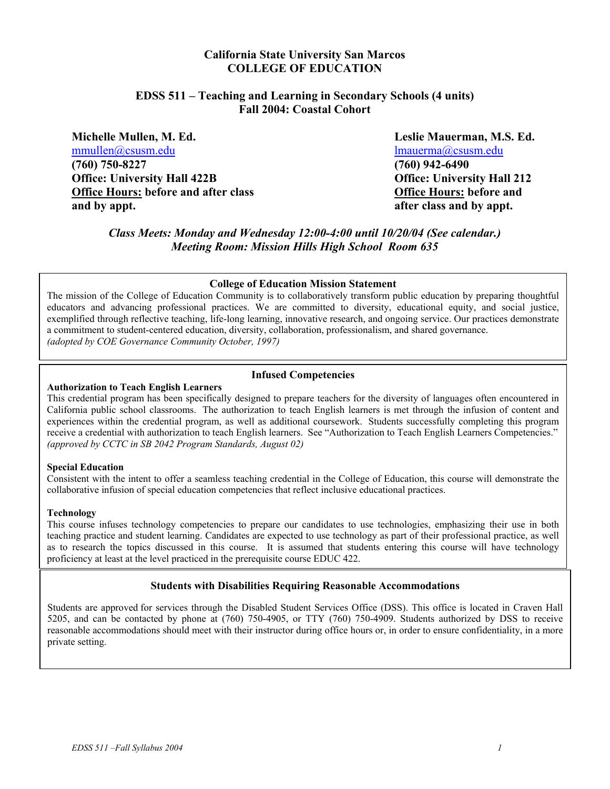## **California State University San Marcos COLLEGE OF EDUCATION**

## **EDSS 511 – Teaching and Learning in Secondary Schools (4 units) Fall 2004: Coastal Cohort**

**Michelle Mullen, M. Ed. Leslie Mauerman, M.S. Ed.**  mmullen@csusm.edu lmauerma@csusm.edu **(760) 750-8227 (760) 942-6490 Office: University Hall 422B Office: University Hall 212 Office Hours: before and after class Community Community Community Community Community Community Community Community Community Community Community Community Community Community Community Community Community Community Comm and by appt. after class and by appt.** 

*Class Meets: Monday and Wednesday 12:00-4:00 until 10/20/04 (See calendar.) Meeting Room: Mission Hills High School Room 635*

#### **College of Education Mission Statement**

The mission of the College of Education Community is to collaboratively transform public education by preparing thoughtful educators and advancing professional practices. We are committed to diversity, educational equity, and social justice, exemplified through reflective teaching, life-long learning, innovative research, and ongoing service. Our practices demonstrate a commitment to student-centered education, diversity, collaboration, professionalism, and shared governance. *(adopted by COE Governance Community October, 1997)*

#### **Infused Competencies**

#### **Authorization to Teach English Learners**

This credential program has been specifically designed to prepare teachers for the diversity of languages often encountered in California public school classrooms. The authorization to teach English learners is met through the infusion of content and experiences within the credential program, as well as additional coursework. Students successfully completing this program receive a credential with authorization to teach English learners. See "Authorization to Teach English Learners Competencies." *(approved by CCTC in SB 2042 Program Standards, August 02)* 

#### **Special Education**

Consistent with the intent to offer a seamless teaching credential in the College of Education, this course will demonstrate the collaborative infusion of special education competencies that reflect inclusive educational practices.

#### **Technology**

This course infuses technology competencies to prepare our candidates to use technologies, emphasizing their use in both teaching practice and student learning. Candidates are expected to use technology as part of their professional practice, as well as to research the topics discussed in this course. It is assumed that students entering this course will have technology proficiency at least at the level practiced in the prerequisite course EDUC 422.

#### **Students with Disabilities Requiring Reasonable Accommodations**

Students are approved for services through the Disabled Student Services Office (DSS). This office is located in Craven Hall 5205, and can be contacted by phone at (760) 750-4905, or TTY (760) 750-4909. Students authorized by DSS to receive reasonable accommodations should meet with their instructor during office hours or, in order to ensure confidentiality, in a more private setting.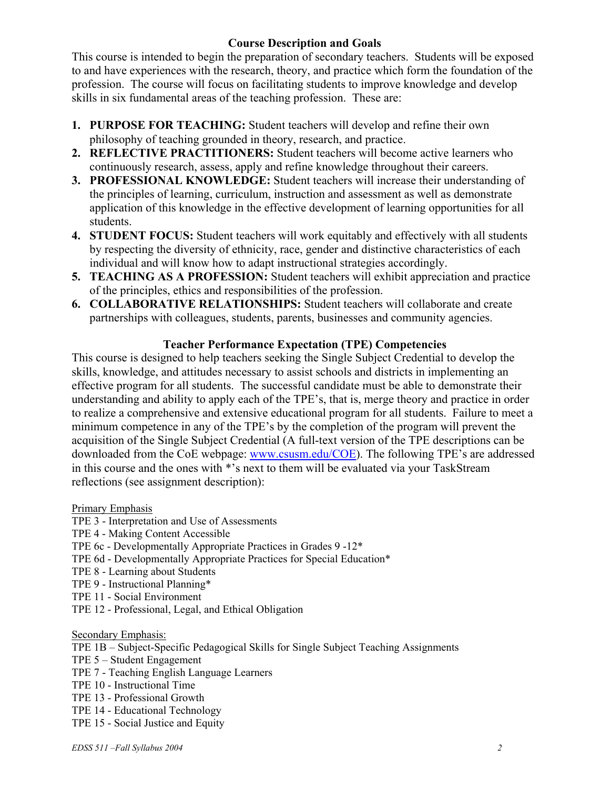# **Course Description and Goals**

This course is intended to begin the preparation of secondary teachers. Students will be exposed to and have experiences with the research, theory, and practice which form the foundation of the profession. The course will focus on facilitating students to improve knowledge and develop skills in six fundamental areas of the teaching profession. These are:

- **1. PURPOSE FOR TEACHING:** Student teachers will develop and refine their own philosophy of teaching grounded in theory, research, and practice.
- **2. REFLECTIVE PRACTITIONERS:** Student teachers will become active learners who continuously research, assess, apply and refine knowledge throughout their careers.
- **3. PROFESSIONAL KNOWLEDGE:** Student teachers will increase their understanding of the principles of learning, curriculum, instruction and assessment as well as demonstrate application of this knowledge in the effective development of learning opportunities for all students.
- **4. STUDENT FOCUS:** Student teachers will work equitably and effectively with all students by respecting the diversity of ethnicity, race, gender and distinctive characteristics of each individual and will know how to adapt instructional strategies accordingly.
- **5. TEACHING AS A PROFESSION:** Student teachers will exhibit appreciation and practice of the principles, ethics and responsibilities of the profession.
- **6. COLLABORATIVE RELATIONSHIPS:** Student teachers will collaborate and create partnerships with colleagues, students, parents, businesses and community agencies.

# **Teacher Performance Expectation (TPE) Competencies**

This course is designed to help teachers seeking the Single Subject Credential to develop the skills, knowledge, and attitudes necessary to assist schools and districts in implementing an effective program for all students. The successful candidate must be able to demonstrate their understanding and ability to apply each of the TPE's, that is, merge theory and practice in order to realize a comprehensive and extensive educational program for all students. Failure to meet a minimum competence in any of the TPE's by the completion of the program will prevent the acquisition of the Single Subject Credential (A full-text version of the TPE descriptions can be downloaded from the CoE webpage: www.csusm.edu/COE). The following TPE's are addressed in this course and the ones with \*'s next to them will be evaluated via your TaskStream reflections (see assignment description):

Primary Emphasis

## TPE 3 - Interpretation and Use of Assessments

- TPE 4 Making Content Accessible
- TPE 6c Developmentally Appropriate Practices in Grades 9 -12\*
- TPE 6d Developmentally Appropriate Practices for Special Education\*
- TPE 8 Learning about Students
- TPE 9 Instructional Planning\*
- TPE 11 Social Environment
- TPE 12 Professional, Legal, and Ethical Obligation

#### Secondary Emphasis:

TPE 1B – Subject-Specific Pedagogical Skills for Single Subject Teaching Assignments

- TPE 5 Student Engagement
- TPE 7 Teaching English Language Learners
- TPE 10 Instructional Time
- TPE 13 Professional Growth
- TPE 14 Educational Technology
- TPE 15 Social Justice and Equity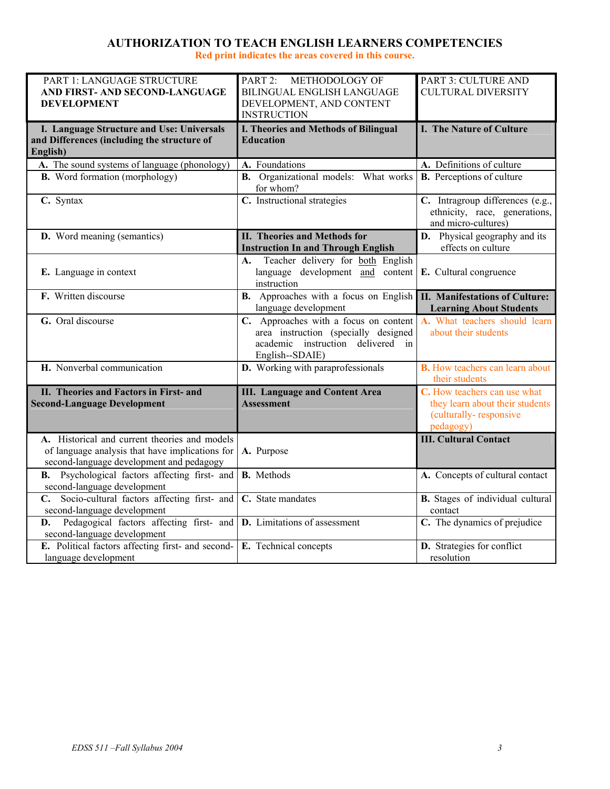# **AUTHORIZATION TO TEACH ENGLISH LEARNERS COMPETENCIES**

**Red print indicates the areas covered in this course.** 

| PART 1: LANGUAGE STRUCTURE                                                          | PART 2: METHODOLOGY OF                       | PART 3: CULTURE AND                     |
|-------------------------------------------------------------------------------------|----------------------------------------------|-----------------------------------------|
| AND FIRST- AND SECOND-LANGUAGE                                                      | BILINGUAL ENGLISH LANGUAGE                   | <b>CULTURAL DIVERSITY</b>               |
| <b>DEVELOPMENT</b>                                                                  | DEVELOPMENT, AND CONTENT                     |                                         |
|                                                                                     | <b>INSTRUCTION</b>                           |                                         |
| I. Language Structure and Use: Universals                                           | <b>I. Theories and Methods of Bilingual</b>  | I. The Nature of Culture                |
| and Differences (including the structure of                                         | <b>Education</b>                             |                                         |
| English)                                                                            |                                              |                                         |
| A. The sound systems of language (phonology)                                        | A. Foundations                               | A. Definitions of culture               |
| <b>B.</b> Word formation (morphology)                                               | <b>B.</b> Organizational models: What works  | <b>B.</b> Perceptions of culture        |
|                                                                                     | for whom?                                    |                                         |
| $\overline{C}$ . Syntax                                                             | C. Instructional strategies                  | C. Intragroup differences (e.g.,        |
|                                                                                     |                                              | ethnicity, race, generations,           |
|                                                                                     |                                              | and micro-cultures)                     |
| <b>D.</b> Word meaning (semantics)                                                  | <b>II. Theories and Methods for</b>          | D. Physical geography and its           |
|                                                                                     | <b>Instruction In and Through English</b>    | effects on culture                      |
|                                                                                     | Teacher delivery for both English<br>А.      |                                         |
| E. Language in context                                                              | language development and content             | E. Cultural congruence                  |
|                                                                                     | instruction                                  |                                         |
| F. Written discourse                                                                | <b>B.</b> Approaches with a focus on English | <b>II. Manifestations of Culture:</b>   |
|                                                                                     | language development                         | <b>Learning About Students</b>          |
| G. Oral discourse                                                                   | C. Approaches with a focus on content        | A. What teachers should learn           |
|                                                                                     | area instruction (specially designed         | about their students                    |
|                                                                                     | academic instruction delivered in            |                                         |
|                                                                                     | English--SDAIE)                              |                                         |
| H. Nonverbal communication                                                          | D. Working with paraprofessionals            | <b>B.</b> How teachers can learn about  |
|                                                                                     |                                              | their students                          |
| II. Theories and Factors in First- and                                              | <b>III. Language and Content Area</b>        | C. How teachers can use what            |
| <b>Second-Language Development</b>                                                  | <b>Assessment</b>                            | they learn about their students         |
|                                                                                     |                                              | (culturally-responsive                  |
|                                                                                     |                                              | pedagogy)                               |
| A. Historical and current theories and models                                       |                                              | <b>III. Cultural Contact</b>            |
| of language analysis that have implications for                                     | A. Purpose                                   |                                         |
| second-language development and pedagogy                                            |                                              |                                         |
| Psychological factors affecting first- and<br><b>B.</b>                             | <b>B.</b> Methods                            | A. Concepts of cultural contact         |
| second-language development                                                         |                                              |                                         |
| C. Socio-cultural factors affecting first- and                                      | C. State mandates                            | <b>B.</b> Stages of individual cultural |
| second-language development                                                         |                                              | contact                                 |
| Pedagogical factors affecting first- and <b>D</b> . Limitations of assessment<br>D. |                                              | C. The dynamics of prejudice            |
| second-language development                                                         |                                              |                                         |
| E. Political factors affecting first- and second-                                   | E. Technical concepts                        | D. Strategies for conflict              |
| language development                                                                |                                              | resolution                              |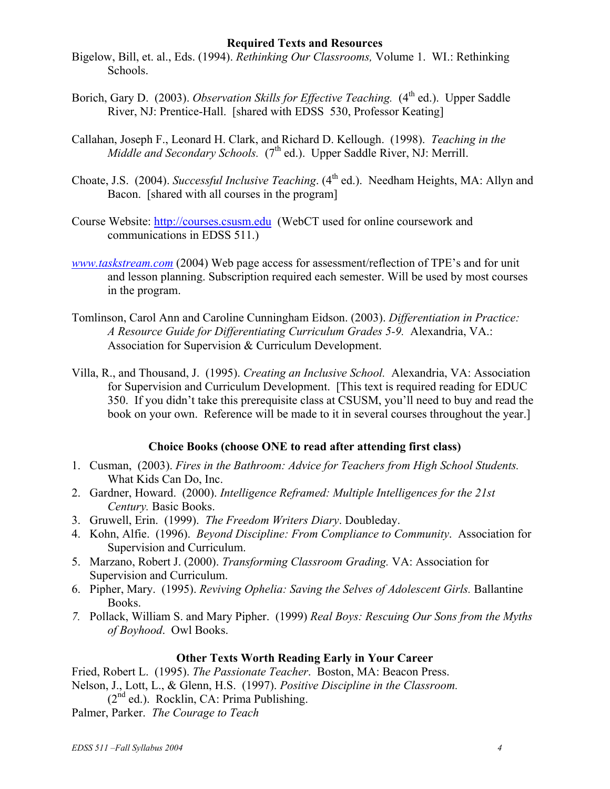## **Required Texts and Resources**

- Bigelow, Bill, et. al., Eds. (1994). *Rethinking Our Classrooms,* Volume 1. WI.: Rethinking Schools.
- Borich, Gary D. (2003). *Observation Skills for Effective Teaching.* (4<sup>th</sup> ed.). Upper Saddle River, NJ: Prentice-Hall. [shared with EDSS 530, Professor Keating]
- Callahan, Joseph F., Leonard H. Clark, and Richard D. Kellough. (1998). *Teaching in the Middle and Secondary Schools.* (7<sup>th</sup> ed.). Upper Saddle River, NJ: Merrill.
- Choate, J.S. (2004). *Successful Inclusive Teaching*. (4<sup>th</sup> ed.). Needham Heights, MA: Allyn and Bacon. [shared with all courses in the program]
- Course Website: http://courses.csusm.edu (WebCT used for online coursework and communications in EDSS 511.)
- *www.taskstream.com* (2004) Web page access for assessment/reflection of TPE's and for unit and lesson planning. Subscription required each semester. Will be used by most courses in the program.
- Tomlinson, Carol Ann and Caroline Cunningham Eidson. (2003). *Differentiation in Practice: A Resource Guide for Differentiating Curriculum Grades 5-9.* Alexandria, VA.: Association for Supervision & Curriculum Development.
- Villa, R., and Thousand, J. (1995). *Creating an Inclusive School.* Alexandria, VA: Association for Supervision and Curriculum Development. [This text is required reading for EDUC 350. If you didn't take this prerequisite class at CSUSM, you'll need to buy and read the book on your own. Reference will be made to it in several courses throughout the year.]

# **Choice Books (choose ONE to read after attending first class)**

- 1. Cusman, (2003). *Fires in the Bathroom: Advice for Teachers from High School Students.* What Kids Can Do, Inc.
- 2. Gardner, Howard. (2000). *Intelligence Reframed: Multiple Intelligences for the 21st Century.* Basic Books.
- 3. Gruwell, Erin. (1999). *The Freedom Writers Diary*. Doubleday.
- 4. Kohn, Alfie. (1996). *Beyond Discipline: From Compliance to Community*. Association for Supervision and Curriculum.
- 5. Marzano, Robert J. (2000). *Transforming Classroom Grading.* VA: Association for Supervision and Curriculum.
- 6. Pipher, Mary. (1995). *Reviving Ophelia: Saving the Selves of Adolescent Girls.* Ballantine Books.
- *7.* Pollack, William S. and Mary Pipher. (1999) *Real Boys: Rescuing Our Sons from the Myths of Boyhood*. Owl Books.

## **Other Texts Worth Reading Early in Your Career**

Fried, Robert L. (1995). *The Passionate Teacher*. Boston, MA: Beacon Press. Nelson, J., Lott, L., & Glenn, H.S. (1997). *Positive Discipline in the Classroom.*  $(2<sup>nd</sup>$  ed.). Rocklin, CA: Prima Publishing.

Palmer, Parker. *The Courage to Teach*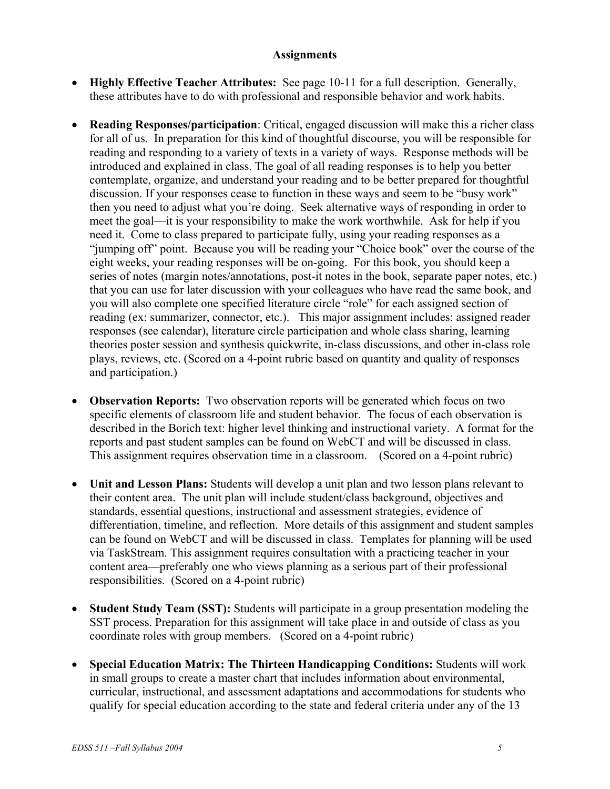## **Assignments**

- **Highly Effective Teacher Attributes:** See page 10-11 for a full description. Generally, these attributes have to do with professional and responsible behavior and work habits.
- **Reading Responses/participation**: Critical, engaged discussion will make this a richer class for all of us. In preparation for this kind of thoughtful discourse, you will be responsible for reading and responding to a variety of texts in a variety of ways. Response methods will be introduced and explained in class. The goal of all reading responses is to help you better contemplate, organize, and understand your reading and to be better prepared for thoughtful discussion. If your responses cease to function in these ways and seem to be "busy work" then you need to adjust what you're doing. Seek alternative ways of responding in order to meet the goal—it is your responsibility to make the work worthwhile. Ask for help if you need it. Come to class prepared to participate fully, using your reading responses as a "jumping off" point. Because you will be reading your "Choice book" over the course of the eight weeks, your reading responses will be on-going. For this book, you should keep a series of notes (margin notes/annotations, post-it notes in the book, separate paper notes, etc.) that you can use for later discussion with your colleagues who have read the same book, and you will also complete one specified literature circle "role" for each assigned section of reading (ex: summarizer, connector, etc.). This major assignment includes: assigned reader responses (see calendar), literature circle participation and whole class sharing, learning theories poster session and synthesis quickwrite, in-class discussions, and other in-class role plays, reviews, etc. (Scored on a 4-point rubric based on quantity and quality of responses and participation.)
- **Observation Reports:** Two observation reports will be generated which focus on two specific elements of classroom life and student behavior. The focus of each observation is described in the Borich text: higher level thinking and instructional variety. A format for the reports and past student samples can be found on WebCT and will be discussed in class. This assignment requires observation time in a classroom. (Scored on a 4-point rubric)
- **Unit and Lesson Plans:** Students will develop a unit plan and two lesson plans relevant to their content area. The unit plan will include student/class background, objectives and standards, essential questions, instructional and assessment strategies, evidence of differentiation, timeline, and reflection. More details of this assignment and student samples can be found on WebCT and will be discussed in class. Templates for planning will be used via TaskStream. This assignment requires consultation with a practicing teacher in your content area—preferably one who views planning as a serious part of their professional responsibilities. (Scored on a 4-point rubric)
- **Student Study Team (SST):** Students will participate in a group presentation modeling the SST process. Preparation for this assignment will take place in and outside of class as you coordinate roles with group members. (Scored on a 4-point rubric)
- **Special Education Matrix: The Thirteen Handicapping Conditions:** Students will work in small groups to create a master chart that includes information about environmental, curricular, instructional, and assessment adaptations and accommodations for students who qualify for special education according to the state and federal criteria under any of the 13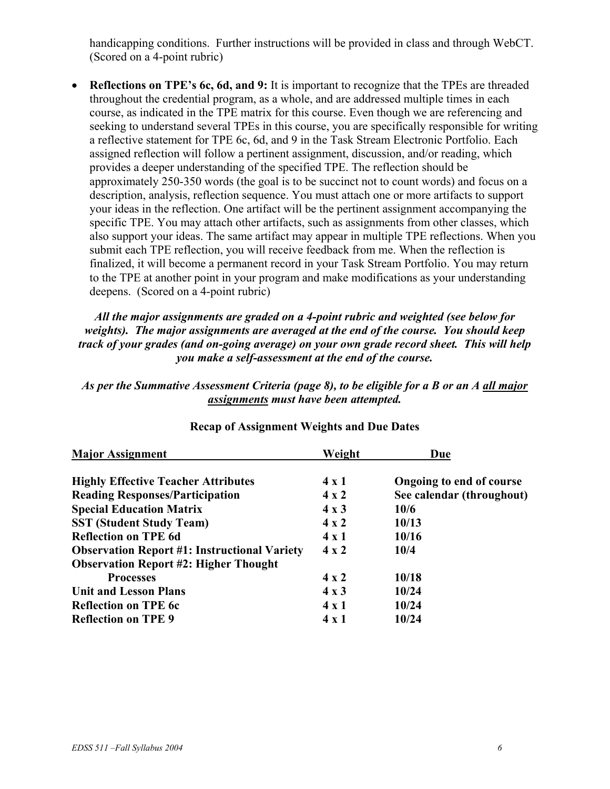handicapping conditions. Further instructions will be provided in class and through WebCT. (Scored on a 4-point rubric)

• **Reflections on TPE's 6c, 6d, and 9:** It is important to recognize that the TPEs are threaded throughout the credential program, as a whole, and are addressed multiple times in each course, as indicated in the TPE matrix for this course. Even though we are referencing and seeking to understand several TPEs in this course, you are specifically responsible for writing a reflective statement for TPE 6c, 6d, and 9 in the Task Stream Electronic Portfolio. Each assigned reflection will follow a pertinent assignment, discussion, and/or reading, which provides a deeper understanding of the specified TPE. The reflection should be approximately 250-350 words (the goal is to be succinct not to count words) and focus on a description, analysis, reflection sequence. You must attach one or more artifacts to support your ideas in the reflection. One artifact will be the pertinent assignment accompanying the specific TPE. You may attach other artifacts, such as assignments from other classes, which also support your ideas. The same artifact may appear in multiple TPE reflections. When you submit each TPE reflection, you will receive feedback from me. When the reflection is finalized, it will become a permanent record in your Task Stream Portfolio. You may return to the TPE at another point in your program and make modifications as your understanding deepens. (Scored on a 4-point rubric)

*All the major assignments are graded on a 4-point rubric and weighted (see below for weights). The major assignments are averaged at the end of the course. You should keep track of your grades (and on-going average) on your own grade record sheet. This will help you make a self-assessment at the end of the course.* 

## *As per the Summative Assessment Criteria (page 8), to be eligible for a B or an A all major assignments must have been attempted.*

| <b>Major Assignment</b>                             | Weight       | Due                       |
|-----------------------------------------------------|--------------|---------------------------|
| <b>Highly Effective Teacher Attributes</b>          | $4 \times 1$ | Ongoing to end of course  |
| <b>Reading Responses/Participation</b>              | $4 \times 2$ | See calendar (throughout) |
| <b>Special Education Matrix</b>                     | $4 \times 3$ | 10/6                      |
| <b>SST (Student Study Team)</b>                     | $4 \times 2$ | 10/13                     |
| <b>Reflection on TPE 6d</b>                         | $4 \times 1$ | 10/16                     |
| <b>Observation Report #1: Instructional Variety</b> | $4 \times 2$ | 10/4                      |
| <b>Observation Report #2: Higher Thought</b>        |              |                           |
| <b>Processes</b>                                    | $4 \times 2$ | 10/18                     |
| <b>Unit and Lesson Plans</b>                        | $4 \times 3$ | 10/24                     |
| <b>Reflection on TPE 6c</b>                         | $4 \times 1$ | 10/24                     |
| <b>Reflection on TPE 9</b>                          | $4 \times 1$ | 10/24                     |

# **Recap of Assignment Weights and Due Dates**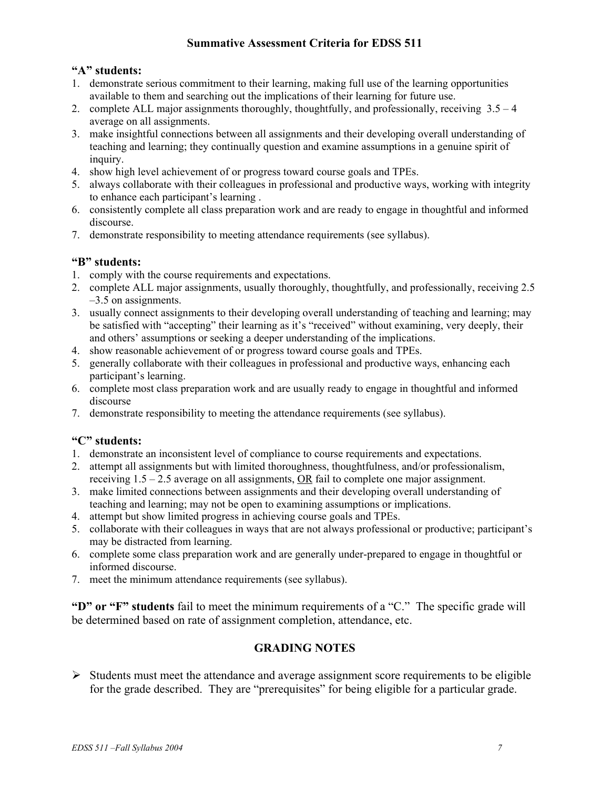## **Summative Assessment Criteria for EDSS 511**

## **"A" students:**

- 1. demonstrate serious commitment to their learning, making full use of the learning opportunities available to them and searching out the implications of their learning for future use.
- 2. complete ALL major assignments thoroughly, thoughtfully, and professionally, receiving 3.5 4 average on all assignments.
- 3. make insightful connections between all assignments and their developing overall understanding of teaching and learning; they continually question and examine assumptions in a genuine spirit of inquiry.
- 4. show high level achievement of or progress toward course goals and TPEs.
- 5. always collaborate with their colleagues in professional and productive ways, working with integrity to enhance each participant's learning .
- 6. consistently complete all class preparation work and are ready to engage in thoughtful and informed discourse.
- 7. demonstrate responsibility to meeting attendance requirements (see syllabus).

## **"B" students:**

- 1. comply with the course requirements and expectations.
- 2. complete ALL major assignments, usually thoroughly, thoughtfully, and professionally, receiving 2.5 –3.5 on assignments.
- 3. usually connect assignments to their developing overall understanding of teaching and learning; may be satisfied with "accepting" their learning as it's "received" without examining, very deeply, their and others' assumptions or seeking a deeper understanding of the implications.
- 4. show reasonable achievement of or progress toward course goals and TPEs.
- 5. generally collaborate with their colleagues in professional and productive ways, enhancing each participant's learning.
- 6. complete most class preparation work and are usually ready to engage in thoughtful and informed discourse
- 7. demonstrate responsibility to meeting the attendance requirements (see syllabus).

## **"C" students:**

- 1. demonstrate an inconsistent level of compliance to course requirements and expectations.
- 2. attempt all assignments but with limited thoroughness, thoughtfulness, and/or professionalism, receiving 1.5 – 2.5 average on all assignments, OR fail to complete one major assignment.
- 3. make limited connections between assignments and their developing overall understanding of teaching and learning; may not be open to examining assumptions or implications.
- 4. attempt but show limited progress in achieving course goals and TPEs.
- 5. collaborate with their colleagues in ways that are not always professional or productive; participant's may be distracted from learning.
- 6. complete some class preparation work and are generally under-prepared to engage in thoughtful or informed discourse.
- 7. meet the minimum attendance requirements (see syllabus).

**"D" or "F" students** fail to meet the minimum requirements of a "C." The specific grade will be determined based on rate of assignment completion, attendance, etc.

## **GRADING NOTES**

 $\triangleright$  Students must meet the attendance and average assignment score requirements to be eligible for the grade described. They are "prerequisites" for being eligible for a particular grade.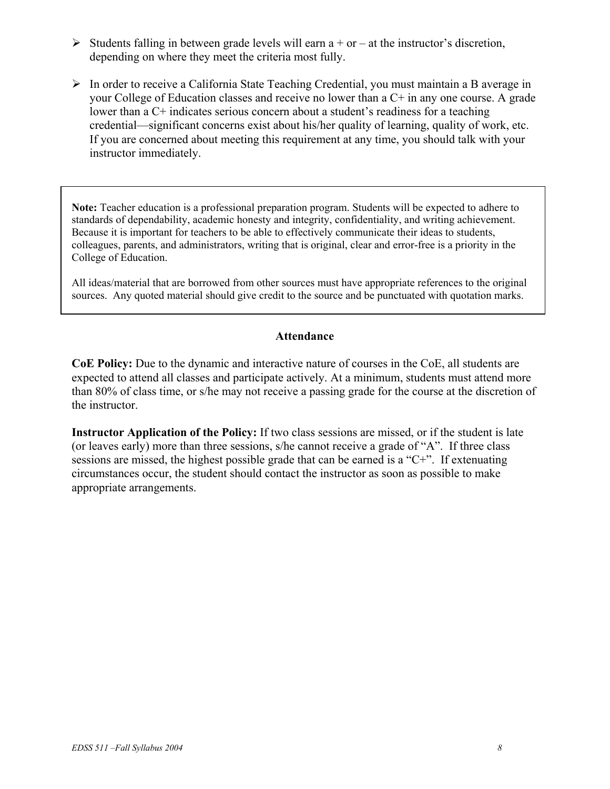- $\triangleright$  Students falling in between grade levels will earn a + or at the instructor's discretion, depending on where they meet the criteria most fully.
- $\triangleright$  In order to receive a California State Teaching Credential, you must maintain a B average in your College of Education classes and receive no lower than a C+ in any one course. A grade lower than a C+ indicates serious concern about a student's readiness for a teaching credential—significant concerns exist about his/her quality of learning, quality of work, etc. If you are concerned about meeting this requirement at any time, you should talk with your instructor immediately.

**Note:** Teacher education is a professional preparation program. Students will be expected to adhere to standards of dependability, academic honesty and integrity, confidentiality, and writing achievement. Because it is important for teachers to be able to effectively communicate their ideas to students, colleagues, parents, and administrators, writing that is original, clear and error-free is a priority in the College of Education.

All ideas/material that are borrowed from other sources must have appropriate references to the original sources. Any quoted material should give credit to the source and be punctuated with quotation marks.

## **Attendance**

**CoE Policy:** Due to the dynamic and interactive nature of courses in the CoE, all students are expected to attend all classes and participate actively. At a minimum, students must attend more than 80% of class time, or s/he may not receive a passing grade for the course at the discretion of the instructor.

**Instructor Application of the Policy:** If two class sessions are missed, or if the student is late (or leaves early) more than three sessions, s/he cannot receive a grade of "A". If three class sessions are missed, the highest possible grade that can be earned is a "C+". If extenuating circumstances occur, the student should contact the instructor as soon as possible to make appropriate arrangements.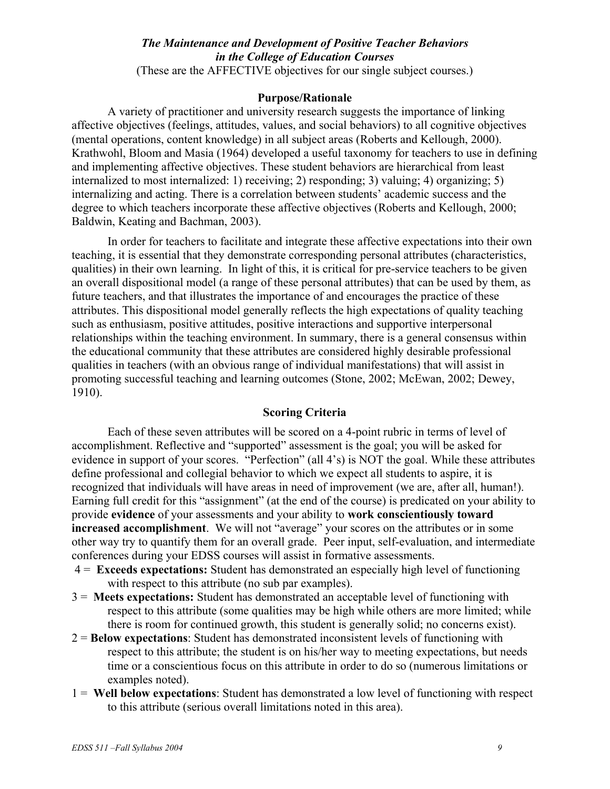# *The Maintenance and Development of Positive Teacher Behaviors in the College of Education Courses*

(These are the AFFECTIVE objectives for our single subject courses.)

#### **Purpose/Rationale**

A variety of practitioner and university research suggests the importance of linking affective objectives (feelings, attitudes, values, and social behaviors) to all cognitive objectives (mental operations, content knowledge) in all subject areas (Roberts and Kellough, 2000). Krathwohl, Bloom and Masia (1964) developed a useful taxonomy for teachers to use in defining and implementing affective objectives. These student behaviors are hierarchical from least internalized to most internalized: 1) receiving; 2) responding; 3) valuing; 4) organizing; 5) internalizing and acting. There is a correlation between students' academic success and the degree to which teachers incorporate these affective objectives (Roberts and Kellough, 2000; Baldwin, Keating and Bachman, 2003).

In order for teachers to facilitate and integrate these affective expectations into their own teaching, it is essential that they demonstrate corresponding personal attributes (characteristics, qualities) in their own learning. In light of this, it is critical for pre-service teachers to be given an overall dispositional model (a range of these personal attributes) that can be used by them, as future teachers, and that illustrates the importance of and encourages the practice of these attributes. This dispositional model generally reflects the high expectations of quality teaching such as enthusiasm, positive attitudes, positive interactions and supportive interpersonal relationships within the teaching environment. In summary, there is a general consensus within the educational community that these attributes are considered highly desirable professional qualities in teachers (with an obvious range of individual manifestations) that will assist in promoting successful teaching and learning outcomes (Stone, 2002; McEwan, 2002; Dewey, 1910).

## **Scoring Criteria**

Each of these seven attributes will be scored on a 4-point rubric in terms of level of accomplishment. Reflective and "supported" assessment is the goal; you will be asked for evidence in support of your scores. "Perfection" (all 4's) is NOT the goal. While these attributes define professional and collegial behavior to which we expect all students to aspire, it is recognized that individuals will have areas in need of improvement (we are, after all, human!). Earning full credit for this "assignment" (at the end of the course) is predicated on your ability to provide **evidence** of your assessments and your ability to **work conscientiously toward increased accomplishment**. We will not "average" your scores on the attributes or in some other way try to quantify them for an overall grade. Peer input, self-evaluation, and intermediate conferences during your EDSS courses will assist in formative assessments.

- 4 = **Exceeds expectations:** Student has demonstrated an especially high level of functioning with respect to this attribute (no sub par examples).
- 3 = **Meets expectations:** Student has demonstrated an acceptable level of functioning with respect to this attribute (some qualities may be high while others are more limited; while there is room for continued growth, this student is generally solid; no concerns exist).
- 2 = **Below expectations**: Student has demonstrated inconsistent levels of functioning with respect to this attribute; the student is on his/her way to meeting expectations, but needs time or a conscientious focus on this attribute in order to do so (numerous limitations or examples noted).
- 1 = **Well below expectations**: Student has demonstrated a low level of functioning with respect to this attribute (serious overall limitations noted in this area).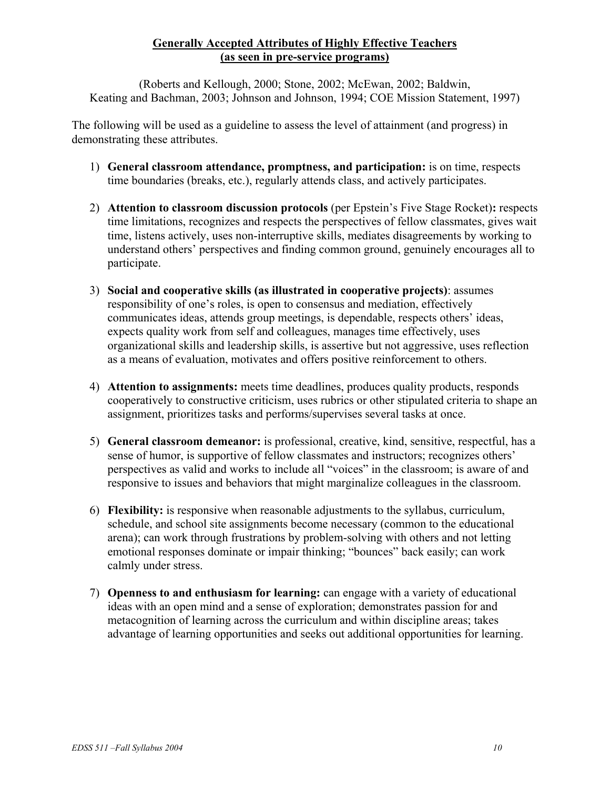# **Generally Accepted Attributes of Highly Effective Teachers (as seen in pre-service programs)**

(Roberts and Kellough, 2000; Stone, 2002; McEwan, 2002; Baldwin, Keating and Bachman, 2003; Johnson and Johnson, 1994; COE Mission Statement, 1997)

The following will be used as a guideline to assess the level of attainment (and progress) in demonstrating these attributes.

- 1) **General classroom attendance, promptness, and participation:** is on time, respects time boundaries (breaks, etc.), regularly attends class, and actively participates.
- 2) **Attention to classroom discussion protocols** (per Epstein's Five Stage Rocket)**:** respects time limitations, recognizes and respects the perspectives of fellow classmates, gives wait time, listens actively, uses non-interruptive skills, mediates disagreements by working to understand others' perspectives and finding common ground, genuinely encourages all to participate.
- 3) **Social and cooperative skills (as illustrated in cooperative projects)**: assumes responsibility of one's roles, is open to consensus and mediation, effectively communicates ideas, attends group meetings, is dependable, respects others' ideas, expects quality work from self and colleagues, manages time effectively, uses organizational skills and leadership skills, is assertive but not aggressive, uses reflection as a means of evaluation, motivates and offers positive reinforcement to others.
- 4) **Attention to assignments:** meets time deadlines, produces quality products, responds cooperatively to constructive criticism, uses rubrics or other stipulated criteria to shape an assignment, prioritizes tasks and performs/supervises several tasks at once.
- 5) **General classroom demeanor:** is professional, creative, kind, sensitive, respectful, has a sense of humor, is supportive of fellow classmates and instructors; recognizes others' perspectives as valid and works to include all "voices" in the classroom; is aware of and responsive to issues and behaviors that might marginalize colleagues in the classroom.
- 6) **Flexibility:** is responsive when reasonable adjustments to the syllabus, curriculum, schedule, and school site assignments become necessary (common to the educational arena); can work through frustrations by problem-solving with others and not letting emotional responses dominate or impair thinking; "bounces" back easily; can work calmly under stress.
- 7) **Openness to and enthusiasm for learning:** can engage with a variety of educational ideas with an open mind and a sense of exploration; demonstrates passion for and metacognition of learning across the curriculum and within discipline areas; takes advantage of learning opportunities and seeks out additional opportunities for learning.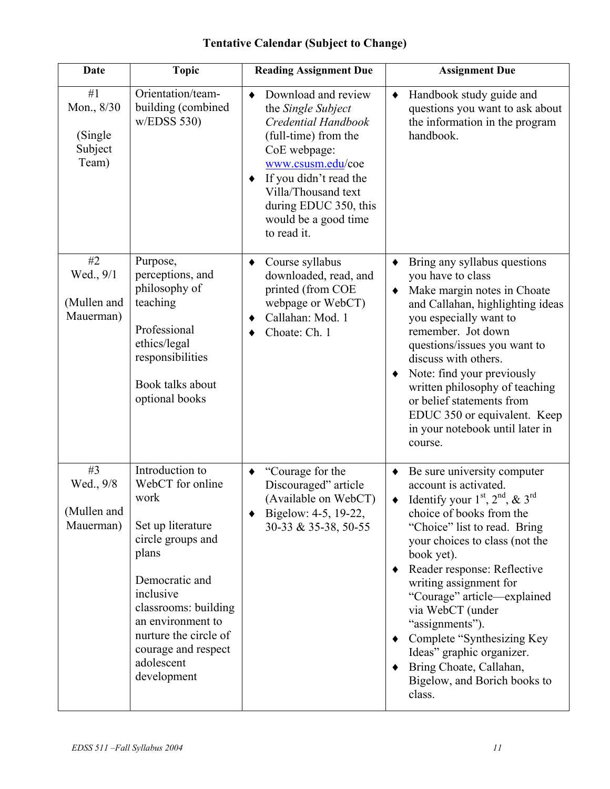| <b>Date</b>                                      | <b>Topic</b>                                                                                                                                                                                                                                            | <b>Reading Assignment Due</b>                                                                                                                                                                                                                                                  | <b>Assignment Due</b>                                                                                                                                                                                                                                                                                                                                                                                                                                                                   |
|--------------------------------------------------|---------------------------------------------------------------------------------------------------------------------------------------------------------------------------------------------------------------------------------------------------------|--------------------------------------------------------------------------------------------------------------------------------------------------------------------------------------------------------------------------------------------------------------------------------|-----------------------------------------------------------------------------------------------------------------------------------------------------------------------------------------------------------------------------------------------------------------------------------------------------------------------------------------------------------------------------------------------------------------------------------------------------------------------------------------|
| #1<br>Mon., 8/30<br>(Single)<br>Subject<br>Team) | Orientation/team-<br>building (combined<br>w/EDSS 530                                                                                                                                                                                                   | Download and review<br>$\bullet$<br>the Single Subject<br>Credential Handbook<br>(full-time) from the<br>CoE webpage:<br>www.csusm.edu/coe<br>If you didn't read the<br>$\blacklozenge$<br>Villa/Thousand text<br>during EDUC 350, this<br>would be a good time<br>to read it. | Handbook study guide and<br>$\blacklozenge$<br>questions you want to ask about<br>the information in the program<br>handbook.                                                                                                                                                                                                                                                                                                                                                           |
| #2<br>Wed., 9/1<br>(Mullen and<br>Mauerman)      | Purpose,<br>perceptions, and<br>philosophy of<br>teaching<br>Professional<br>ethics/legal<br>responsibilities<br>Book talks about<br>optional books                                                                                                     | Course syllabus<br>$\blacklozenge$<br>downloaded, read, and<br>printed (from COE<br>webpage or WebCT)<br>Callahan: Mod. 1<br>٠<br>Choate: Ch. 1                                                                                                                                | Bring any syllabus questions<br>٠<br>you have to class<br>Make margin notes in Choate<br>٠<br>and Callahan, highlighting ideas<br>you especially want to<br>remember. Jot down<br>questions/issues you want to<br>discuss with others.<br>Note: find your previously<br>٠<br>written philosophy of teaching<br>or belief statements from<br>EDUC 350 or equivalent. Keep<br>in your notebook until later in<br>course.                                                                  |
| #3<br>Wed., 9/8<br>(Mullen and<br>Mauerman)      | Introduction to<br>WebCT for online<br>work<br>Set up literature<br>circle groups and<br>plans<br>Democratic and<br>inclusive<br>classrooms: building<br>an environment to<br>nurture the circle of<br>courage and respect<br>adolescent<br>development | "Courage for the<br>$\blacklozenge$<br>Discouraged" article<br>(Available on WebCT)<br>Bigelow: 4-5, 19-22,<br>30-33 & 35-38, 50-55                                                                                                                                            | Be sure university computer<br>account is activated.<br>Identify your $1st$ , $2nd$ , & $3rd$<br>choice of books from the<br>"Choice" list to read. Bring<br>your choices to class (not the<br>book yet).<br>Reader response: Reflective<br>٠<br>writing assignment for<br>"Courage" article—explained<br>via WebCT (under<br>"assignments").<br>Complete "Synthesizing Key<br>٠<br>Ideas" graphic organizer.<br>Bring Choate, Callahan,<br>٠<br>Bigelow, and Borich books to<br>class. |

# **Tentative Calendar (Subject to Change)**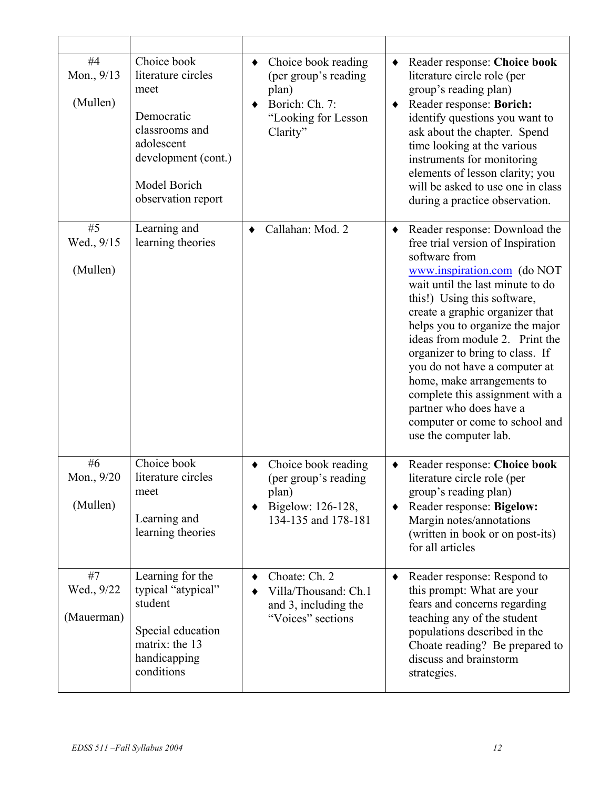| #4<br>Mon., 9/13<br>(Mullen)    | Choice book<br>literature circles<br>meet<br>Democratic<br>classrooms and<br>adolescent<br>development (cont.)<br>Model Borich<br>observation report | Choice book reading<br>٠<br>(per group's reading<br>plan)<br>Borich: Ch. 7:<br>"Looking for Lesson<br>Clarity" | ٠<br>٠ | Reader response: Choice book<br>literature circle role (per<br>group's reading plan)<br>Reader response: Borich:<br>identify questions you want to<br>ask about the chapter. Spend<br>time looking at the various<br>instruments for monitoring<br>elements of lesson clarity; you<br>will be asked to use one in class<br>during a practice observation.                                                                                                                                                                |
|---------------------------------|------------------------------------------------------------------------------------------------------------------------------------------------------|----------------------------------------------------------------------------------------------------------------|--------|--------------------------------------------------------------------------------------------------------------------------------------------------------------------------------------------------------------------------------------------------------------------------------------------------------------------------------------------------------------------------------------------------------------------------------------------------------------------------------------------------------------------------|
| #5<br>Wed., 9/15<br>(Mullen)    | Learning and<br>learning theories                                                                                                                    | Callahan: Mod. 2<br>٠                                                                                          | ٠      | Reader response: Download the<br>free trial version of Inspiration<br>software from<br>www.inspiration.com (do NOT<br>wait until the last minute to do<br>this!) Using this software,<br>create a graphic organizer that<br>helps you to organize the major<br>ideas from module 2. Print the<br>organizer to bring to class. If<br>you do not have a computer at<br>home, make arrangements to<br>complete this assignment with a<br>partner who does have a<br>computer or come to school and<br>use the computer lab. |
| # $6$<br>Mon., 9/20<br>(Mullen) | Choice book<br>literature circles<br>meet<br>Learning and<br>learning theories                                                                       | Choice book reading<br>(per group's reading<br>plan)<br>Bigelow: 126-128,<br>134-135 and 178-181               | ٠      | Reader response: Choice book<br>literature circle role (per<br>group's reading plan)<br>Reader response: Bigelow:<br>Margin notes/annotations<br>(written in book or on post-its)<br>for all articles                                                                                                                                                                                                                                                                                                                    |
| #7<br>Wed., 9/22<br>(Mauerman)  | Learning for the<br>typical "atypical"<br>student<br>Special education<br>matrix: the 13<br>handicapping<br>conditions                               | Choate: Ch. 2<br>Villa/Thousand: Ch.1<br>and 3, including the<br>"Voices" sections                             | ٠      | Reader response: Respond to<br>this prompt: What are your<br>fears and concerns regarding<br>teaching any of the student<br>populations described in the<br>Choate reading? Be prepared to<br>discuss and brainstorm<br>strategies.                                                                                                                                                                                                                                                                                      |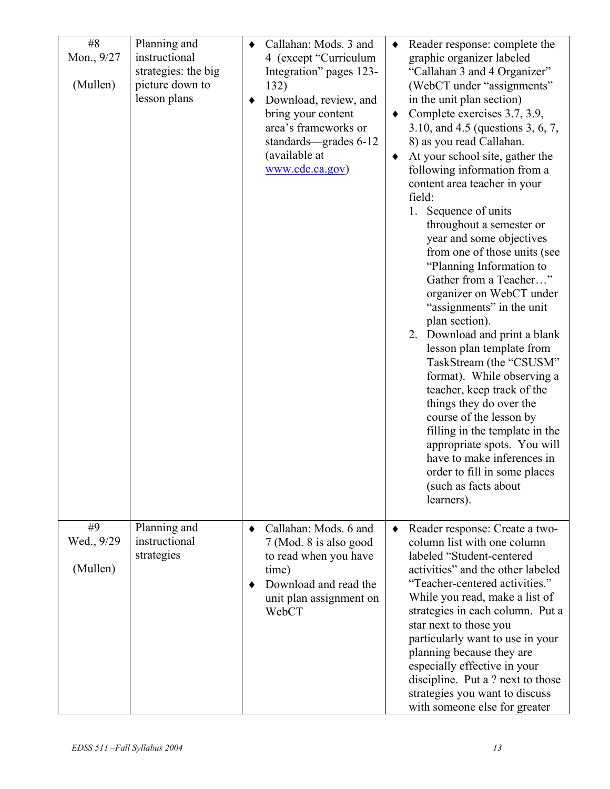| #8<br>Mon., 9/27<br>(Mullen) | Planning and<br>instructional<br>strategies: the big<br>picture down to<br>lesson plans | ٠<br>٠         | Callahan: Mods. 3 and<br>4 (except "Curriculum<br>Integration" pages 123-<br>132)<br>Download, review, and<br>bring your content<br>area's frameworks or<br>standards—grades 6-12<br>(available at<br>www.cde.ca.gov) | $\bullet$<br>$\bullet$<br>٠ | Reader response: complete the<br>graphic organizer labeled<br>"Callahan 3 and 4 Organizer"<br>(WebCT under "assignments"<br>in the unit plan section)<br>Complete exercises 3.7, 3.9,<br>3.10, and 4.5 (questions 3, 6, 7,<br>8) as you read Callahan.<br>At your school site, gather the<br>following information from a<br>content area teacher in your<br>field:<br>Sequence of units<br>1.<br>throughout a semester or<br>year and some objectives<br>from one of those units (see<br>"Planning Information to<br>Gather from a Teacher"<br>organizer on WebCT under<br>"assignments" in the unit<br>plan section).<br>2. Download and print a blank<br>lesson plan template from<br>TaskStream (the "CSUSM"<br>format). While observing a<br>teacher, keep track of the<br>things they do over the<br>course of the lesson by<br>filling in the template in the<br>appropriate spots. You will<br>have to make inferences in<br>order to fill in some places<br>(such as facts about<br>learners). |
|------------------------------|-----------------------------------------------------------------------------------------|----------------|-----------------------------------------------------------------------------------------------------------------------------------------------------------------------------------------------------------------------|-----------------------------|---------------------------------------------------------------------------------------------------------------------------------------------------------------------------------------------------------------------------------------------------------------------------------------------------------------------------------------------------------------------------------------------------------------------------------------------------------------------------------------------------------------------------------------------------------------------------------------------------------------------------------------------------------------------------------------------------------------------------------------------------------------------------------------------------------------------------------------------------------------------------------------------------------------------------------------------------------------------------------------------------------|
| #9<br>Wed., 9/29<br>(Mullen) | Planning and<br>instructional<br>strategies                                             | $\bullet$<br>٠ | Callahan: Mods. 6 and<br>7 (Mod. 8 is also good<br>to read when you have<br>time)<br>Download and read the<br>unit plan assignment on<br>WebCT                                                                        | $\bullet$                   | Reader response: Create a two-<br>column list with one column<br>labeled "Student-centered<br>activities" and the other labeled<br>"Teacher-centered activities."<br>While you read, make a list of<br>strategies in each column. Put a<br>star next to those you<br>particularly want to use in your<br>planning because they are<br>especially effective in your<br>discipline. Put a ? next to those<br>strategies you want to discuss<br>with someone else for greater                                                                                                                                                                                                                                                                                                                                                                                                                                                                                                                              |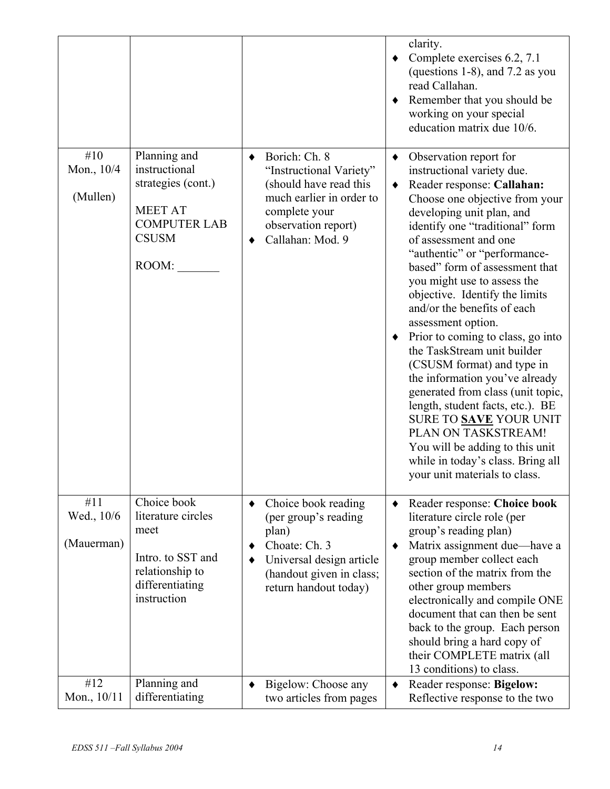|                                 |                                                                                                                       |                                                                                                                                                                       |             | clarity.<br>Complete exercises 6.2, 7.1<br>(questions 1-8), and 7.2 as you<br>read Callahan.<br>Remember that you should be<br>working on your special<br>education matrix due 10/6.                                                                                                                                                                                                                                                                                                                                                                                                                                                                                                                                                                                                |
|---------------------------------|-----------------------------------------------------------------------------------------------------------------------|-----------------------------------------------------------------------------------------------------------------------------------------------------------------------|-------------|-------------------------------------------------------------------------------------------------------------------------------------------------------------------------------------------------------------------------------------------------------------------------------------------------------------------------------------------------------------------------------------------------------------------------------------------------------------------------------------------------------------------------------------------------------------------------------------------------------------------------------------------------------------------------------------------------------------------------------------------------------------------------------------|
| #10<br>Mon., 10/4<br>(Mullen)   | Planning and<br>instructional<br>strategies (cont.)<br><b>MEET AT</b><br><b>COMPUTER LAB</b><br><b>CSUSM</b><br>ROOM: | Borich: Ch. 8<br>٠<br>"Instructional Variety"<br>(should have read this<br>much earlier in order to<br>complete your<br>observation report)<br>Callahan: Mod. 9       | ٠<br>٠<br>٠ | Observation report for<br>instructional variety due.<br>Reader response: Callahan:<br>Choose one objective from your<br>developing unit plan, and<br>identify one "traditional" form<br>of assessment and one<br>"authentic" or "performance-<br>based" form of assessment that<br>you might use to assess the<br>objective. Identify the limits<br>and/or the benefits of each<br>assessment option.<br>Prior to coming to class, go into<br>the TaskStream unit builder<br>(CSUSM format) and type in<br>the information you've already<br>generated from class (unit topic,<br>length, student facts, etc.). BE<br>SURE TO <b>SAVE</b> YOUR UNIT<br>PLAN ON TASKSTREAM!<br>You will be adding to this unit<br>while in today's class. Bring all<br>your unit materials to class. |
| #11<br>Wed., 10/6<br>(Mauerman) | Choice book<br>literature circles<br>meet<br>Intro. to SST and<br>relationship to<br>differentiating<br>instruction   | Choice book reading<br>٠<br>(per group's reading<br>plan)<br>Choate: Ch. 3<br>٠<br>Universal design article<br>٠<br>(handout given in class;<br>return handout today) | ٠           | Reader response: Choice book<br>literature circle role (per<br>group's reading plan)<br>Matrix assignment due—have a<br>group member collect each<br>section of the matrix from the<br>other group members<br>electronically and compile ONE<br>document that can then be sent<br>back to the group. Each person<br>should bring a hard copy of<br>their COMPLETE matrix (all<br>13 conditions) to class.                                                                                                                                                                                                                                                                                                                                                                           |
| #12<br>Mon., $10/11$            | Planning and<br>differentiating                                                                                       | Bigelow: Choose any<br>٠<br>two articles from pages                                                                                                                   | ٠           | Reader response: Bigelow:<br>Reflective response to the two                                                                                                                                                                                                                                                                                                                                                                                                                                                                                                                                                                                                                                                                                                                         |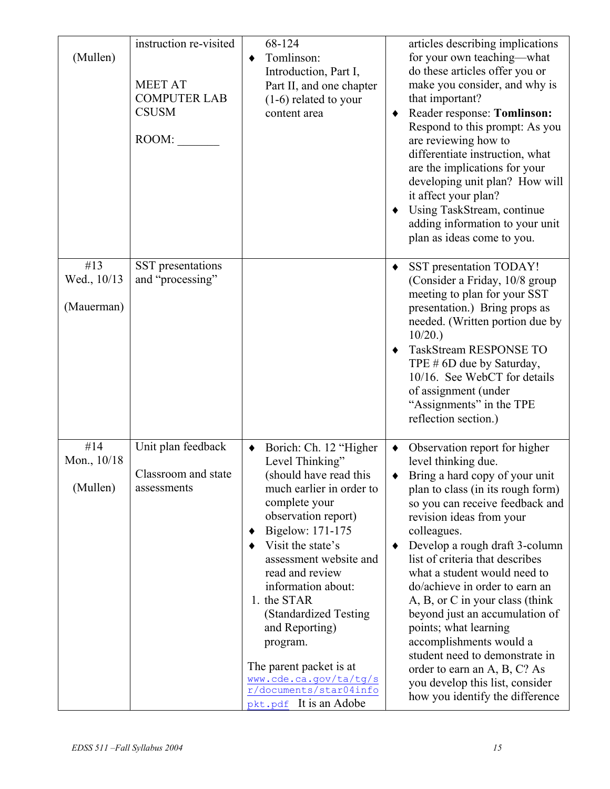| (Mullen)                         | instruction re-visited<br><b>MEET AT</b><br><b>COMPUTER LAB</b><br><b>CSUSM</b><br>ROOM: | 68-124<br>Tomlinson:<br>٠<br>Introduction, Part I,<br>Part II, and one chapter<br>$(1-6)$ related to your<br>content area                                                                                                                                                                                                                                                                                                                         | articles describing implications<br>for your own teaching—what<br>do these articles offer you or<br>make you consider, and why is<br>that important?<br>Reader response: Tomlinson:<br>Respond to this prompt: As you<br>are reviewing how to<br>differentiate instruction, what<br>are the implications for your<br>developing unit plan? How will<br>it affect your plan?<br>Using TaskStream, continue<br>٠<br>adding information to your unit<br>plan as ideas come to you.                                                                                                                                        |
|----------------------------------|------------------------------------------------------------------------------------------|---------------------------------------------------------------------------------------------------------------------------------------------------------------------------------------------------------------------------------------------------------------------------------------------------------------------------------------------------------------------------------------------------------------------------------------------------|------------------------------------------------------------------------------------------------------------------------------------------------------------------------------------------------------------------------------------------------------------------------------------------------------------------------------------------------------------------------------------------------------------------------------------------------------------------------------------------------------------------------------------------------------------------------------------------------------------------------|
| #13<br>Wed., 10/13<br>(Mauerman) | SST presentations<br>and "processing"                                                    |                                                                                                                                                                                                                                                                                                                                                                                                                                                   | SST presentation TODAY!<br>٠<br>(Consider a Friday, 10/8 group<br>meeting to plan for your SST<br>presentation.) Bring props as<br>needed. (Written portion due by<br>10/20.<br>TaskStream RESPONSE TO<br>٠<br>TPE # 6D due by Saturday,<br>10/16. See WebCT for details<br>of assignment (under<br>"Assignments" in the TPE<br>reflection section.)                                                                                                                                                                                                                                                                   |
| #14<br>Mon., 10/18<br>(Mullen)   | Unit plan feedback<br>Classroom and state<br>assessments                                 | Borich: Ch. 12 "Higher<br>٠<br>Level Thinking"<br>(should have read this<br>much earlier in order to<br>complete your<br>observation report)<br>Bigelow: 171-175<br>٠<br>Visit the state's<br>٠<br>assessment website and<br>read and review<br>information about:<br>1. the STAR<br>(Standardized Testing<br>and Reporting)<br>program.<br>The parent packet is at<br>www.cde.ca.gov/ta/tg/s<br>r/documents/star04info<br>pkt.pdf It is an Adobe | Observation report for higher<br>٠<br>level thinking due.<br>Bring a hard copy of your unit<br>plan to class (in its rough form)<br>so you can receive feedback and<br>revision ideas from your<br>colleagues.<br>Develop a rough draft 3-column<br>list of criteria that describes<br>what a student would need to<br>do/achieve in order to earn an<br>A, B, or C in your class (think<br>beyond just an accumulation of<br>points; what learning<br>accomplishments would a<br>student need to demonstrate in<br>order to earn an A, B, C? As<br>you develop this list, consider<br>how you identify the difference |